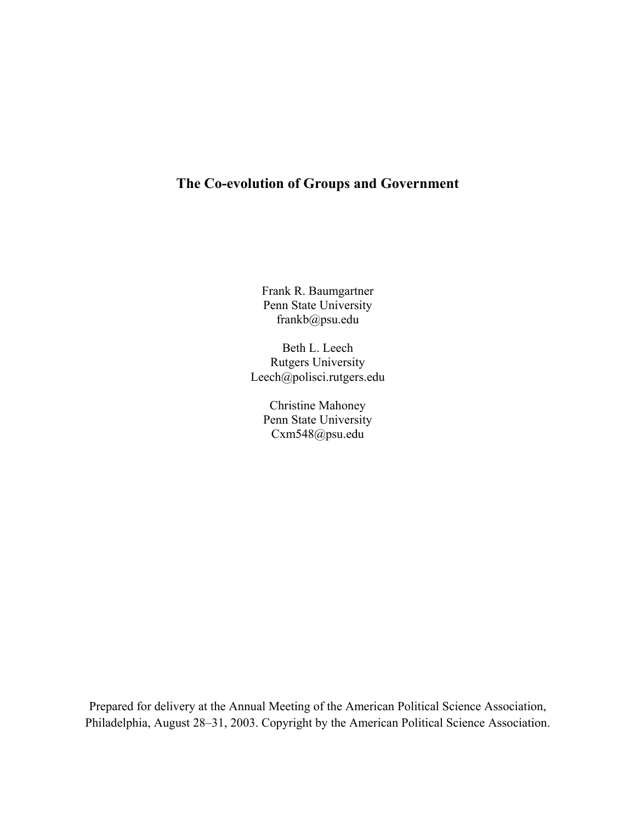# **The Co-evolution of Groups and Government**

Frank R. Baumgartner Penn State University frankb@psu.edu

Beth L. Leech Rutgers University Leech@polisci.rutgers.edu

Christine Mahoney Penn State University Cxm548@psu.edu

Prepared for delivery at the Annual Meeting of the American Political Science Association, Philadelphia, August 28–31, 2003. Copyright by the American Political Science Association.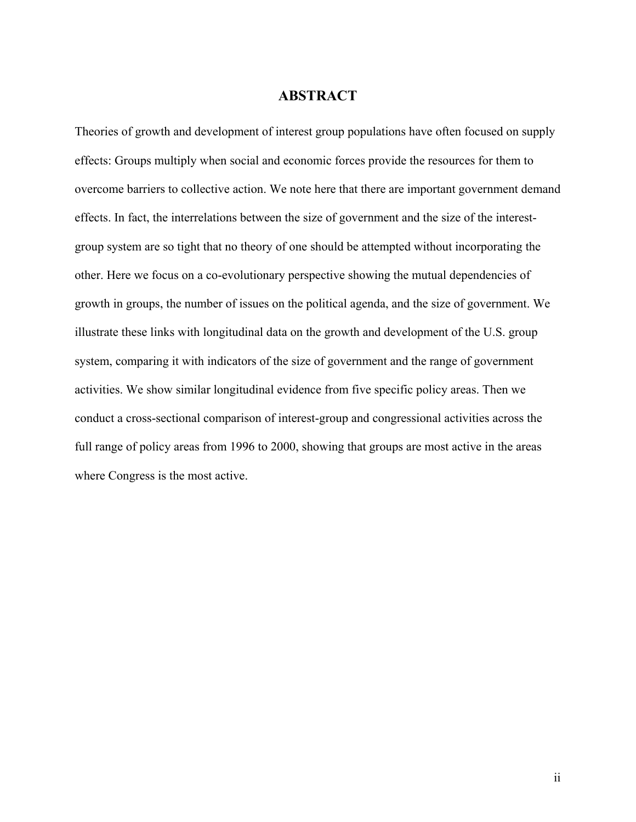# **ABSTRACT**

Theories of growth and development of interest group populations have often focused on supply effects: Groups multiply when social and economic forces provide the resources for them to overcome barriers to collective action. We note here that there are important government demand effects. In fact, the interrelations between the size of government and the size of the interestgroup system are so tight that no theory of one should be attempted without incorporating the other. Here we focus on a co-evolutionary perspective showing the mutual dependencies of growth in groups, the number of issues on the political agenda, and the size of government. We illustrate these links with longitudinal data on the growth and development of the U.S. group system, comparing it with indicators of the size of government and the range of government activities. We show similar longitudinal evidence from five specific policy areas. Then we conduct a cross-sectional comparison of interest-group and congressional activities across the full range of policy areas from 1996 to 2000, showing that groups are most active in the areas where Congress is the most active.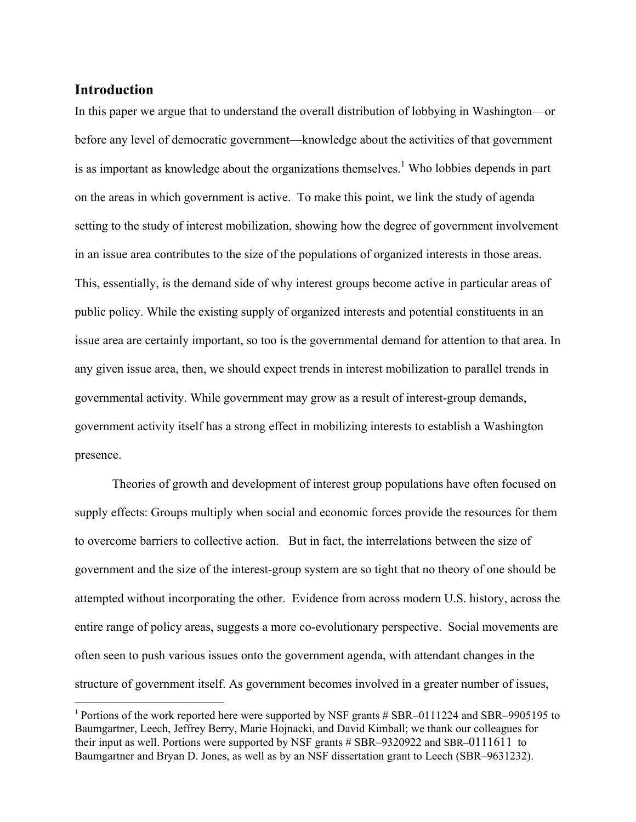### **Introduction**

 $\overline{a}$ 

In this paper we argue that to understand the overall distribution of lobbying in Washington—or before any level of democratic government—knowledge about the activities of that government is as important as knowledge about the organizations themselves.<sup>[1](#page-2-0)</sup> Who lobbies depends in part on the areas in which government is active. To make this point, we link the study of agenda setting to the study of interest mobilization, showing how the degree of government involvement in an issue area contributes to the size of the populations of organized interests in those areas. This, essentially, is the demand side of why interest groups become active in particular areas of public policy. While the existing supply of organized interests and potential constituents in an issue area are certainly important, so too is the governmental demand for attention to that area. In any given issue area, then, we should expect trends in interest mobilization to parallel trends in governmental activity. While government may grow as a result of interest-group demands, government activity itself has a strong effect in mobilizing interests to establish a Washington presence.

 Theories of growth and development of interest group populations have often focused on supply effects: Groups multiply when social and economic forces provide the resources for them to overcome barriers to collective action. But in fact, the interrelations between the size of government and the size of the interest-group system are so tight that no theory of one should be attempted without incorporating the other. Evidence from across modern U.S. history, across the entire range of policy areas, suggests a more co-evolutionary perspective. Social movements are often seen to push various issues onto the government agenda, with attendant changes in the structure of government itself. As government becomes involved in a greater number of issues,

<span id="page-2-0"></span><sup>1</sup> Portions of the work reported here were supported by NSF grants # SBR–0111224 and SBR–9905195 to Baumgartner, Leech, Jeffrey Berry, Marie Hojnacki, and David Kimball; we thank our colleagues for their input as well. Portions were supported by NSF grants # SBR–9320922 and SBR–0111611 to Baumgartner and Bryan D. Jones, as well as by an NSF dissertation grant to Leech (SBR–9631232).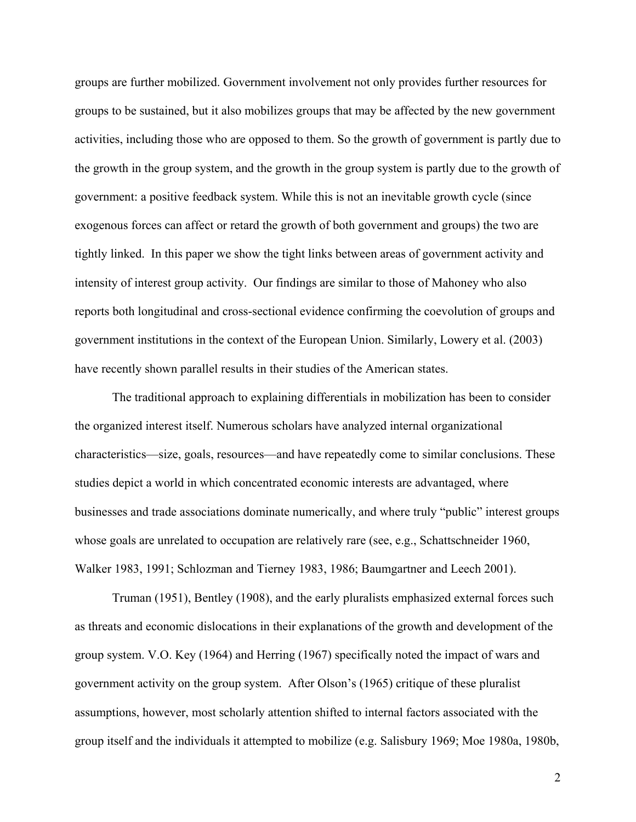groups are further mobilized. Government involvement not only provides further resources for groups to be sustained, but it also mobilizes groups that may be affected by the new government activities, including those who are opposed to them. So the growth of government is partly due to the growth in the group system, and the growth in the group system is partly due to the growth of government: a positive feedback system. While this is not an inevitable growth cycle (since exogenous forces can affect or retard the growth of both government and groups) the two are tightly linked. In this paper we show the tight links between areas of government activity and intensity of interest group activity. Our findings are similar to those of Mahoney who also reports both longitudinal and cross-sectional evidence confirming the coevolution of groups and government institutions in the context of the European Union. Similarly, Lowery et al. (2003) have recently shown parallel results in their studies of the American states.

The traditional approach to explaining differentials in mobilization has been to consider the organized interest itself. Numerous scholars have analyzed internal organizational characteristics—size, goals, resources—and have repeatedly come to similar conclusions. These studies depict a world in which concentrated economic interests are advantaged, where businesses and trade associations dominate numerically, and where truly "public" interest groups whose goals are unrelated to occupation are relatively rare (see, e.g., Schattschneider 1960, Walker 1983, 1991; Schlozman and Tierney 1983, 1986; Baumgartner and Leech 2001).

Truman (1951), Bentley (1908), and the early pluralists emphasized external forces such as threats and economic dislocations in their explanations of the growth and development of the group system. V.O. Key (1964) and Herring (1967) specifically noted the impact of wars and government activity on the group system. After Olson's (1965) critique of these pluralist assumptions, however, most scholarly attention shifted to internal factors associated with the group itself and the individuals it attempted to mobilize (e.g. Salisbury 1969; Moe 1980a, 1980b,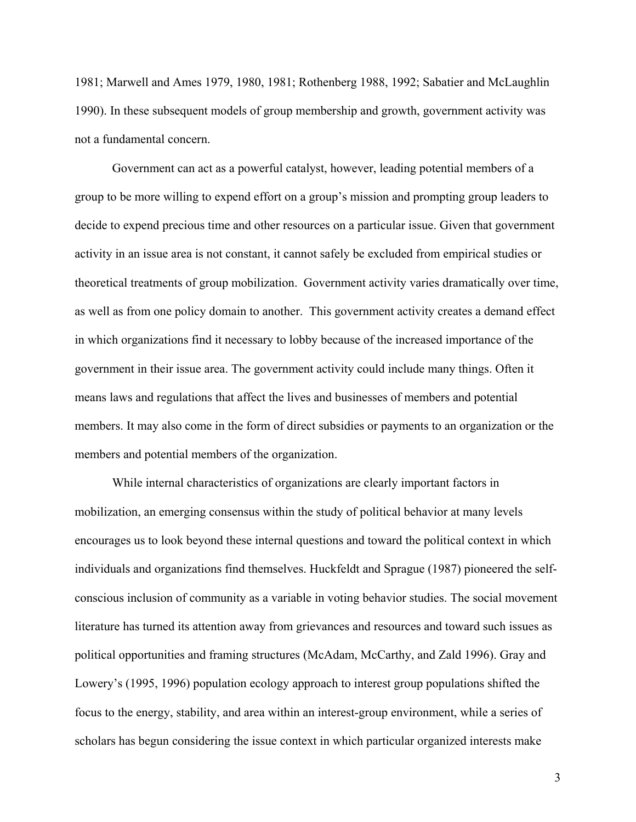1981; Marwell and Ames 1979, 1980, 1981; Rothenberg 1988, 1992; Sabatier and McLaughlin 1990). In these subsequent models of group membership and growth, government activity was not a fundamental concern.

Government can act as a powerful catalyst, however, leading potential members of a group to be more willing to expend effort on a group's mission and prompting group leaders to decide to expend precious time and other resources on a particular issue. Given that government activity in an issue area is not constant, it cannot safely be excluded from empirical studies or theoretical treatments of group mobilization. Government activity varies dramatically over time, as well as from one policy domain to another. This government activity creates a demand effect in which organizations find it necessary to lobby because of the increased importance of the government in their issue area. The government activity could include many things. Often it means laws and regulations that affect the lives and businesses of members and potential members. It may also come in the form of direct subsidies or payments to an organization or the members and potential members of the organization.

While internal characteristics of organizations are clearly important factors in mobilization, an emerging consensus within the study of political behavior at many levels encourages us to look beyond these internal questions and toward the political context in which individuals and organizations find themselves. Huckfeldt and Sprague (1987) pioneered the selfconscious inclusion of community as a variable in voting behavior studies. The social movement literature has turned its attention away from grievances and resources and toward such issues as political opportunities and framing structures (McAdam, McCarthy, and Zald 1996). Gray and Lowery's (1995, 1996) population ecology approach to interest group populations shifted the focus to the energy, stability, and area within an interest-group environment, while a series of scholars has begun considering the issue context in which particular organized interests make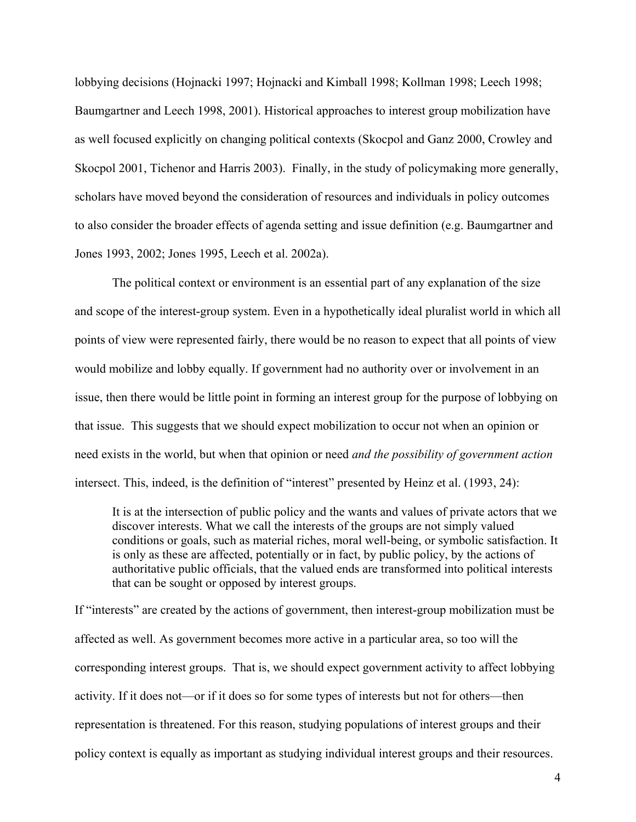lobbying decisions (Hojnacki 1997; Hojnacki and Kimball 1998; Kollman 1998; Leech 1998; Baumgartner and Leech 1998, 2001). Historical approaches to interest group mobilization have as well focused explicitly on changing political contexts (Skocpol and Ganz 2000, Crowley and Skocpol 2001, Tichenor and Harris 2003). Finally, in the study of policymaking more generally, scholars have moved beyond the consideration of resources and individuals in policy outcomes to also consider the broader effects of agenda setting and issue definition (e.g. Baumgartner and Jones 1993, 2002; Jones 1995, Leech et al. 2002a).

The political context or environment is an essential part of any explanation of the size and scope of the interest-group system. Even in a hypothetically ideal pluralist world in which all points of view were represented fairly, there would be no reason to expect that all points of view would mobilize and lobby equally. If government had no authority over or involvement in an issue, then there would be little point in forming an interest group for the purpose of lobbying on that issue. This suggests that we should expect mobilization to occur not when an opinion or need exists in the world, but when that opinion or need *and the possibility of government action* intersect. This, indeed, is the definition of "interest" presented by Heinz et al. (1993, 24):

It is at the intersection of public policy and the wants and values of private actors that we discover interests. What we call the interests of the groups are not simply valued conditions or goals, such as material riches, moral well-being, or symbolic satisfaction. It is only as these are affected, potentially or in fact, by public policy, by the actions of authoritative public officials, that the valued ends are transformed into political interests that can be sought or opposed by interest groups.

If "interests" are created by the actions of government, then interest-group mobilization must be affected as well. As government becomes more active in a particular area, so too will the corresponding interest groups. That is, we should expect government activity to affect lobbying activity. If it does not—or if it does so for some types of interests but not for others—then representation is threatened. For this reason, studying populations of interest groups and their policy context is equally as important as studying individual interest groups and their resources.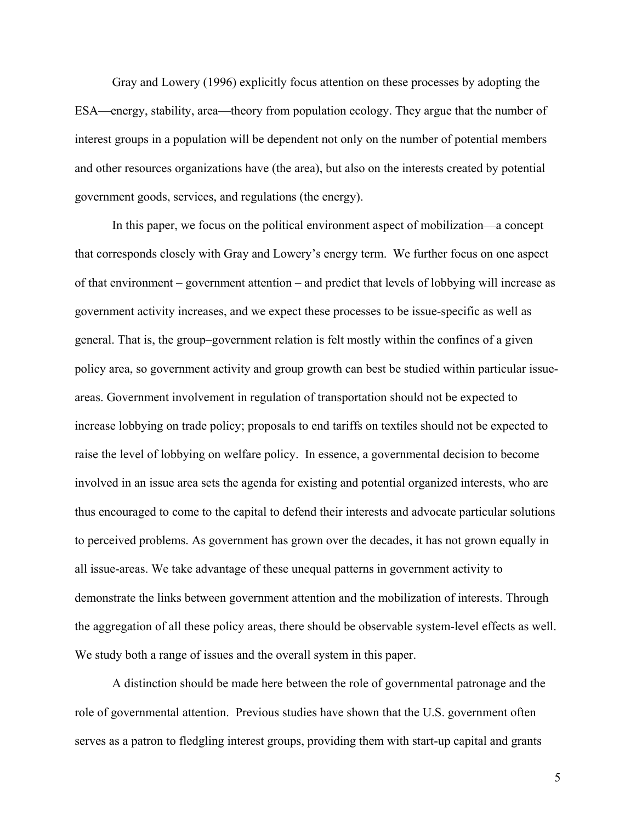Gray and Lowery (1996) explicitly focus attention on these processes by adopting the ESA—energy, stability, area—theory from population ecology. They argue that the number of interest groups in a population will be dependent not only on the number of potential members and other resources organizations have (the area), but also on the interests created by potential government goods, services, and regulations (the energy).

In this paper, we focus on the political environment aspect of mobilization—a concept that corresponds closely with Gray and Lowery's energy term. We further focus on one aspect of that environment – government attention – and predict that levels of lobbying will increase as government activity increases, and we expect these processes to be issue-specific as well as general. That is, the group–government relation is felt mostly within the confines of a given policy area, so government activity and group growth can best be studied within particular issueareas. Government involvement in regulation of transportation should not be expected to increase lobbying on trade policy; proposals to end tariffs on textiles should not be expected to raise the level of lobbying on welfare policy. In essence, a governmental decision to become involved in an issue area sets the agenda for existing and potential organized interests, who are thus encouraged to come to the capital to defend their interests and advocate particular solutions to perceived problems. As government has grown over the decades, it has not grown equally in all issue-areas. We take advantage of these unequal patterns in government activity to demonstrate the links between government attention and the mobilization of interests. Through the aggregation of all these policy areas, there should be observable system-level effects as well. We study both a range of issues and the overall system in this paper.

A distinction should be made here between the role of governmental patronage and the role of governmental attention. Previous studies have shown that the U.S. government often serves as a patron to fledgling interest groups, providing them with start-up capital and grants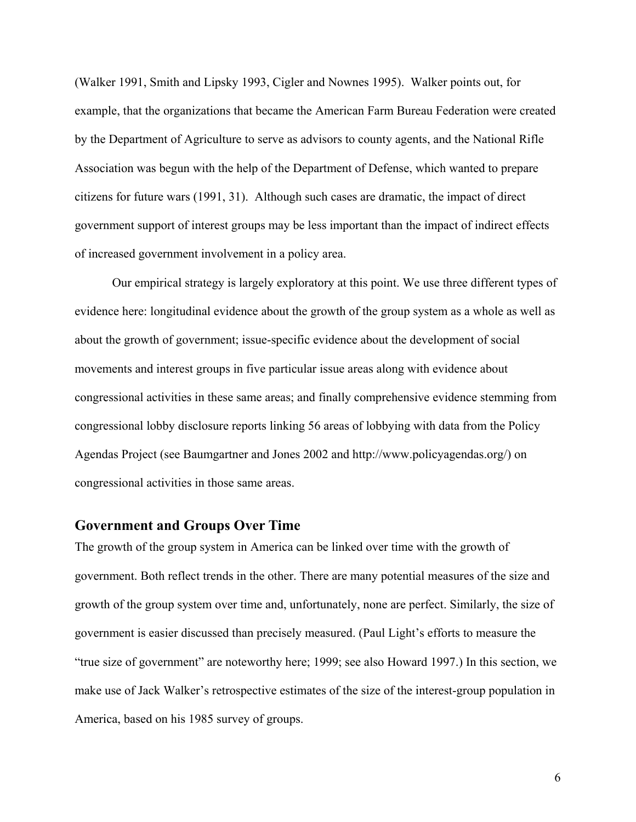(Walker 1991, Smith and Lipsky 1993, Cigler and Nownes 1995). Walker points out, for example, that the organizations that became the American Farm Bureau Federation were created by the Department of Agriculture to serve as advisors to county agents, and the National Rifle Association was begun with the help of the Department of Defense, which wanted to prepare citizens for future wars (1991, 31). Although such cases are dramatic, the impact of direct government support of interest groups may be less important than the impact of indirect effects of increased government involvement in a policy area.

Our empirical strategy is largely exploratory at this point. We use three different types of evidence here: longitudinal evidence about the growth of the group system as a whole as well as about the growth of government; issue-specific evidence about the development of social movements and interest groups in five particular issue areas along with evidence about congressional activities in these same areas; and finally comprehensive evidence stemming from congressional lobby disclosure reports linking 56 areas of lobbying with data from the Policy Agendas Project (see Baumgartner and Jones 2002 and http://www.policyagendas.org/) on congressional activities in those same areas.

### **Government and Groups Over Time**

The growth of the group system in America can be linked over time with the growth of government. Both reflect trends in the other. There are many potential measures of the size and growth of the group system over time and, unfortunately, none are perfect. Similarly, the size of government is easier discussed than precisely measured. (Paul Light's efforts to measure the "true size of government" are noteworthy here; 1999; see also Howard 1997.) In this section, we make use of Jack Walker's retrospective estimates of the size of the interest-group population in America, based on his 1985 survey of groups.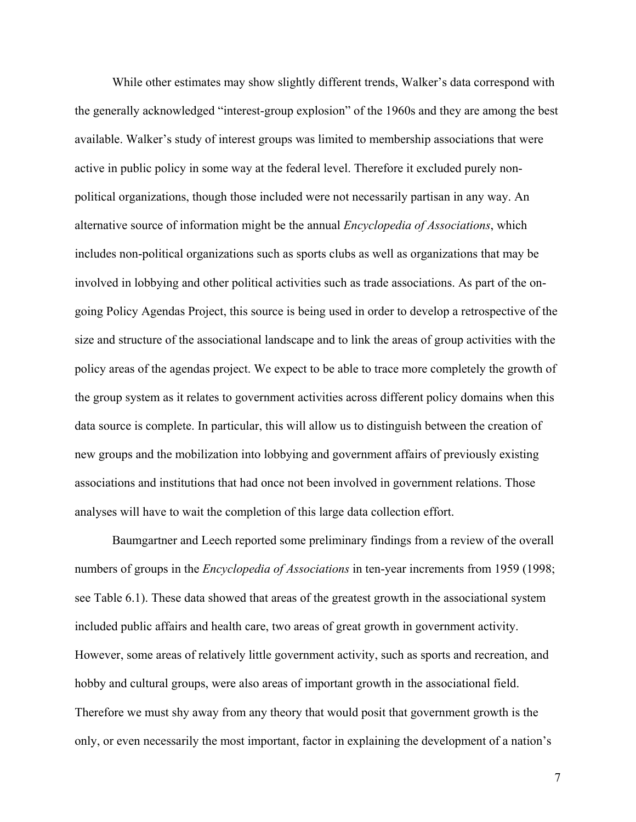While other estimates may show slightly different trends, Walker's data correspond with the generally acknowledged "interest-group explosion" of the 1960s and they are among the best available. Walker's study of interest groups was limited to membership associations that were active in public policy in some way at the federal level. Therefore it excluded purely nonpolitical organizations, though those included were not necessarily partisan in any way. An alternative source of information might be the annual *Encyclopedia of Associations*, which includes non-political organizations such as sports clubs as well as organizations that may be involved in lobbying and other political activities such as trade associations. As part of the ongoing Policy Agendas Project, this source is being used in order to develop a retrospective of the size and structure of the associational landscape and to link the areas of group activities with the policy areas of the agendas project. We expect to be able to trace more completely the growth of the group system as it relates to government activities across different policy domains when this data source is complete. In particular, this will allow us to distinguish between the creation of new groups and the mobilization into lobbying and government affairs of previously existing associations and institutions that had once not been involved in government relations. Those analyses will have to wait the completion of this large data collection effort.

Baumgartner and Leech reported some preliminary findings from a review of the overall numbers of groups in the *Encyclopedia of Associations* in ten-year increments from 1959 (1998; see Table 6.1). These data showed that areas of the greatest growth in the associational system included public affairs and health care, two areas of great growth in government activity. However, some areas of relatively little government activity, such as sports and recreation, and hobby and cultural groups, were also areas of important growth in the associational field. Therefore we must shy away from any theory that would posit that government growth is the only, or even necessarily the most important, factor in explaining the development of a nation's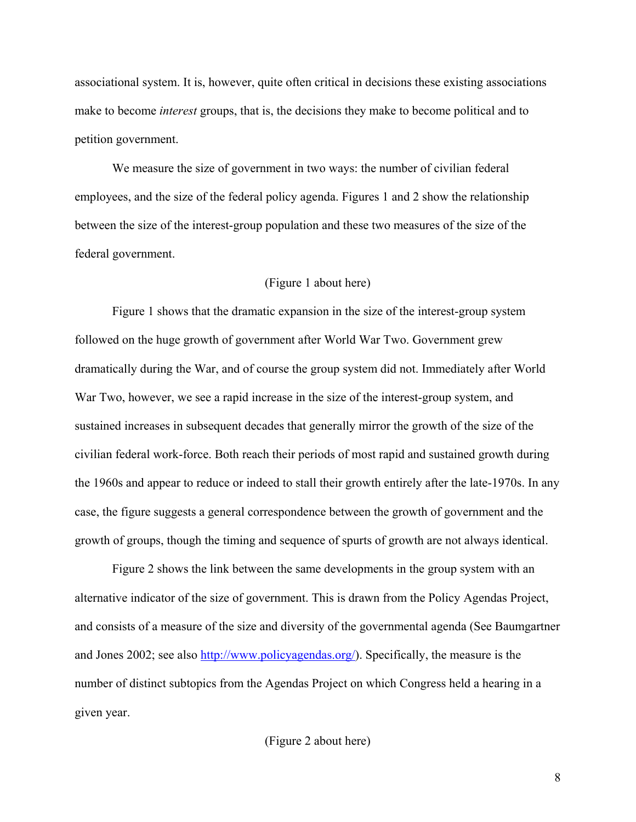associational system. It is, however, quite often critical in decisions these existing associations make to become *interest* groups, that is, the decisions they make to become political and to petition government.

We measure the size of government in two ways: the number of civilian federal employees, and the size of the federal policy agenda. Figures 1 and 2 show the relationship between the size of the interest-group population and these two measures of the size of the federal government.

### (Figure 1 about here)

Figure 1 shows that the dramatic expansion in the size of the interest-group system followed on the huge growth of government after World War Two. Government grew dramatically during the War, and of course the group system did not. Immediately after World War Two, however, we see a rapid increase in the size of the interest-group system, and sustained increases in subsequent decades that generally mirror the growth of the size of the civilian federal work-force. Both reach their periods of most rapid and sustained growth during the 1960s and appear to reduce or indeed to stall their growth entirely after the late-1970s. In any case, the figure suggests a general correspondence between the growth of government and the growth of groups, though the timing and sequence of spurts of growth are not always identical.

Figure 2 shows the link between the same developments in the group system with an alternative indicator of the size of government. This is drawn from the Policy Agendas Project, and consists of a measure of the size and diversity of the governmental agenda (See Baumgartner and Jones 2002; see also<http://www.policyagendas.org/>). Specifically, the measure is the number of distinct subtopics from the Agendas Project on which Congress held a hearing in a given year.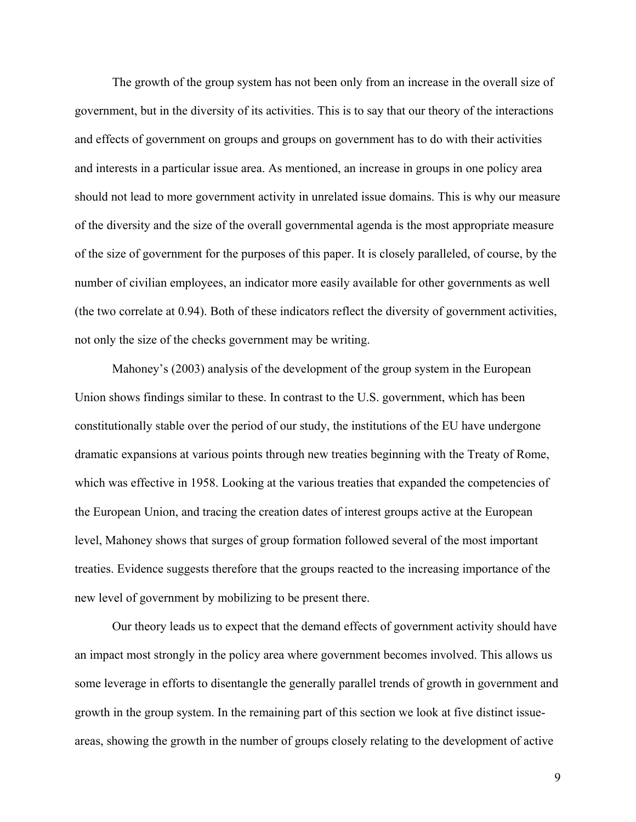The growth of the group system has not been only from an increase in the overall size of government, but in the diversity of its activities. This is to say that our theory of the interactions and effects of government on groups and groups on government has to do with their activities and interests in a particular issue area. As mentioned, an increase in groups in one policy area should not lead to more government activity in unrelated issue domains. This is why our measure of the diversity and the size of the overall governmental agenda is the most appropriate measure of the size of government for the purposes of this paper. It is closely paralleled, of course, by the number of civilian employees, an indicator more easily available for other governments as well (the two correlate at 0.94). Both of these indicators reflect the diversity of government activities, not only the size of the checks government may be writing.

Mahoney's (2003) analysis of the development of the group system in the European Union shows findings similar to these. In contrast to the U.S. government, which has been constitutionally stable over the period of our study, the institutions of the EU have undergone dramatic expansions at various points through new treaties beginning with the Treaty of Rome, which was effective in 1958. Looking at the various treaties that expanded the competencies of the European Union, and tracing the creation dates of interest groups active at the European level, Mahoney shows that surges of group formation followed several of the most important treaties. Evidence suggests therefore that the groups reacted to the increasing importance of the new level of government by mobilizing to be present there.

Our theory leads us to expect that the demand effects of government activity should have an impact most strongly in the policy area where government becomes involved. This allows us some leverage in efforts to disentangle the generally parallel trends of growth in government and growth in the group system. In the remaining part of this section we look at five distinct issueareas, showing the growth in the number of groups closely relating to the development of active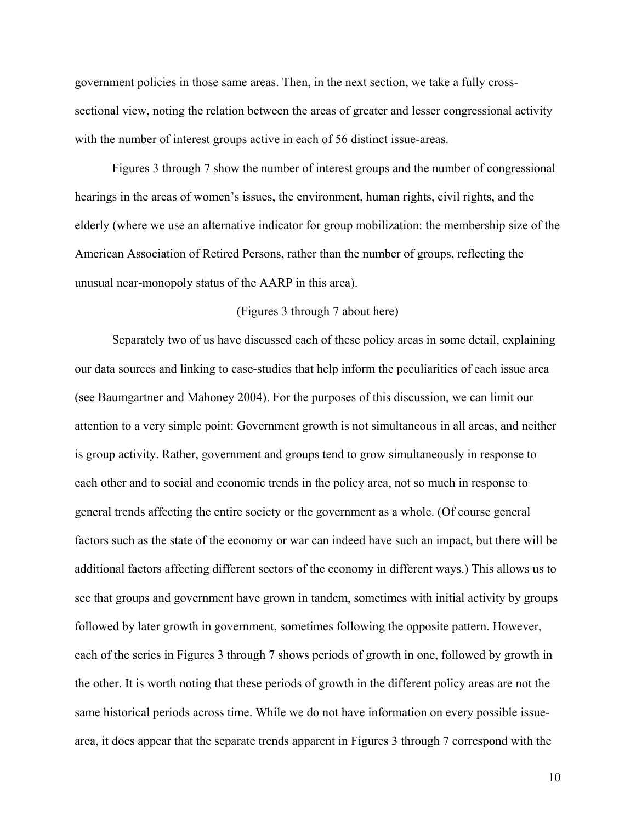government policies in those same areas. Then, in the next section, we take a fully crosssectional view, noting the relation between the areas of greater and lesser congressional activity with the number of interest groups active in each of 56 distinct issue-areas.

Figures 3 through 7 show the number of interest groups and the number of congressional hearings in the areas of women's issues, the environment, human rights, civil rights, and the elderly (where we use an alternative indicator for group mobilization: the membership size of the American Association of Retired Persons, rather than the number of groups, reflecting the unusual near-monopoly status of the AARP in this area).

#### (Figures 3 through 7 about here)

Separately two of us have discussed each of these policy areas in some detail, explaining our data sources and linking to case-studies that help inform the peculiarities of each issue area (see Baumgartner and Mahoney 2004). For the purposes of this discussion, we can limit our attention to a very simple point: Government growth is not simultaneous in all areas, and neither is group activity. Rather, government and groups tend to grow simultaneously in response to each other and to social and economic trends in the policy area, not so much in response to general trends affecting the entire society or the government as a whole. (Of course general factors such as the state of the economy or war can indeed have such an impact, but there will be additional factors affecting different sectors of the economy in different ways.) This allows us to see that groups and government have grown in tandem, sometimes with initial activity by groups followed by later growth in government, sometimes following the opposite pattern. However, each of the series in Figures 3 through 7 shows periods of growth in one, followed by growth in the other. It is worth noting that these periods of growth in the different policy areas are not the same historical periods across time. While we do not have information on every possible issuearea, it does appear that the separate trends apparent in Figures 3 through 7 correspond with the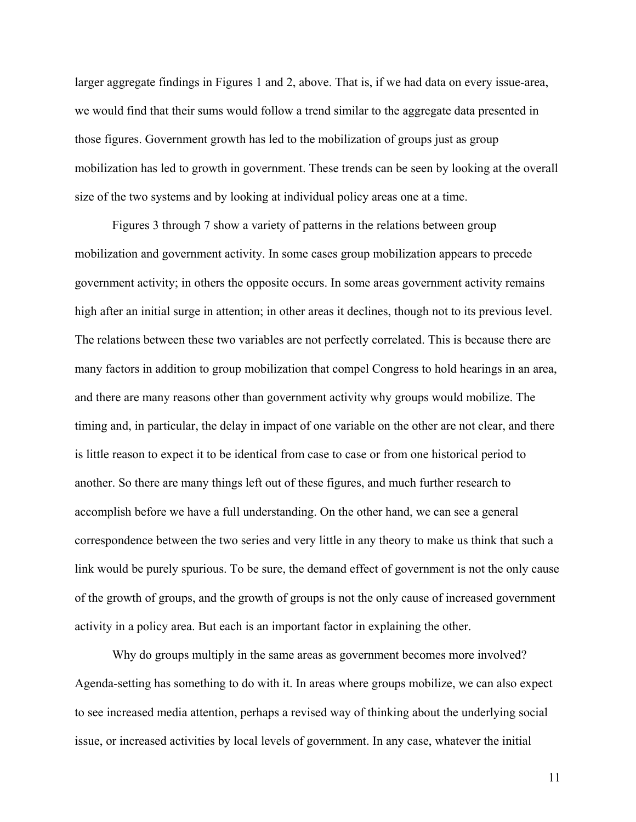larger aggregate findings in Figures 1 and 2, above. That is, if we had data on every issue-area, we would find that their sums would follow a trend similar to the aggregate data presented in those figures. Government growth has led to the mobilization of groups just as group mobilization has led to growth in government. These trends can be seen by looking at the overall size of the two systems and by looking at individual policy areas one at a time.

Figures 3 through 7 show a variety of patterns in the relations between group mobilization and government activity. In some cases group mobilization appears to precede government activity; in others the opposite occurs. In some areas government activity remains high after an initial surge in attention; in other areas it declines, though not to its previous level. The relations between these two variables are not perfectly correlated. This is because there are many factors in addition to group mobilization that compel Congress to hold hearings in an area, and there are many reasons other than government activity why groups would mobilize. The timing and, in particular, the delay in impact of one variable on the other are not clear, and there is little reason to expect it to be identical from case to case or from one historical period to another. So there are many things left out of these figures, and much further research to accomplish before we have a full understanding. On the other hand, we can see a general correspondence between the two series and very little in any theory to make us think that such a link would be purely spurious. To be sure, the demand effect of government is not the only cause of the growth of groups, and the growth of groups is not the only cause of increased government activity in a policy area. But each is an important factor in explaining the other.

Why do groups multiply in the same areas as government becomes more involved? Agenda-setting has something to do with it. In areas where groups mobilize, we can also expect to see increased media attention, perhaps a revised way of thinking about the underlying social issue, or increased activities by local levels of government. In any case, whatever the initial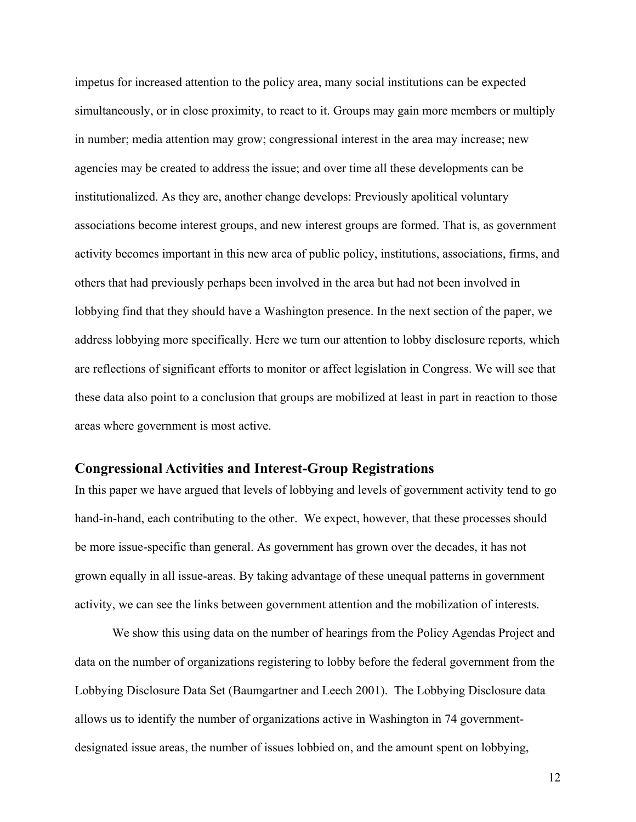impetus for increased attention to the policy area, many social institutions can be expected simultaneously, or in close proximity, to react to it. Groups may gain more members or multiply in number; media attention may grow; congressional interest in the area may increase; new agencies may be created to address the issue; and over time all these developments can be institutionalized. As they are, another change develops: Previously apolitical voluntary associations become interest groups, and new interest groups are formed. That is, as government activity becomes important in this new area of public policy, institutions, associations, firms, and others that had previously perhaps been involved in the area but had not been involved in lobbying find that they should have a Washington presence. In the next section of the paper, we address lobbying more specifically. Here we turn our attention to lobby disclosure reports, which are reflections of significant efforts to monitor or affect legislation in Congress. We will see that these data also point to a conclusion that groups are mobilized at least in part in reaction to those areas where government is most active.

# **Congressional Activities and Interest-Group Registrations**

In this paper we have argued that levels of lobbying and levels of government activity tend to go hand-in-hand, each contributing to the other. We expect, however, that these processes should be more issue-specific than general. As government has grown over the decades, it has not grown equally in all issue-areas. By taking advantage of these unequal patterns in government activity, we can see the links between government attention and the mobilization of interests.

We show this using data on the number of hearings from the Policy Agendas Project and data on the number of organizations registering to lobby before the federal government from the Lobbying Disclosure Data Set (Baumgartner and Leech 2001). The Lobbying Disclosure data allows us to identify the number of organizations active in Washington in 74 governmentdesignated issue areas, the number of issues lobbied on, and the amount spent on lobbying,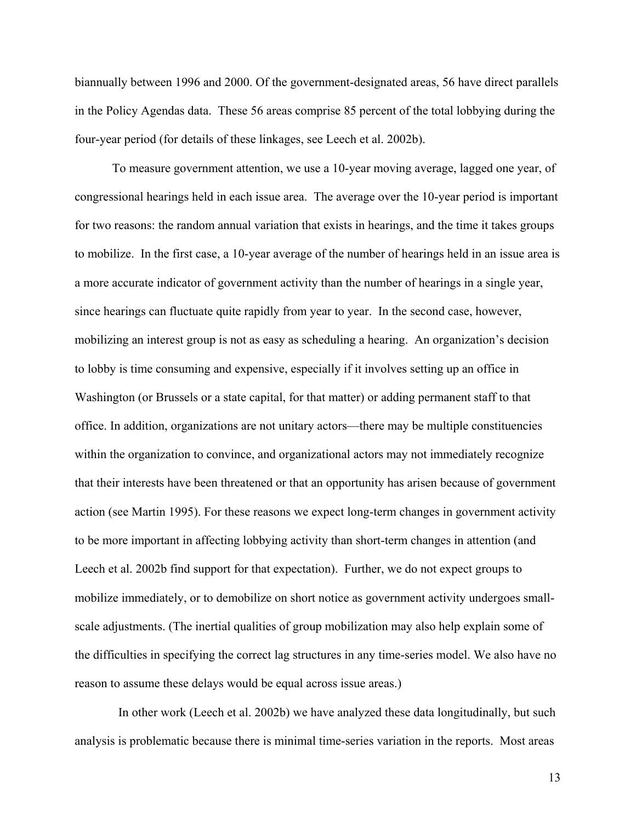biannually between 1996 and 2000. Of the government-designated areas, 56 have direct parallels in the Policy Agendas data. These 56 areas comprise 85 percent of the total lobbying during the four-year period (for details of these linkages, see Leech et al. 2002b).

To measure government attention, we use a 10-year moving average, lagged one year, of congressional hearings held in each issue area. The average over the 10-year period is important for two reasons: the random annual variation that exists in hearings, and the time it takes groups to mobilize. In the first case, a 10-year average of the number of hearings held in an issue area is a more accurate indicator of government activity than the number of hearings in a single year, since hearings can fluctuate quite rapidly from year to year. In the second case, however, mobilizing an interest group is not as easy as scheduling a hearing. An organization's decision to lobby is time consuming and expensive, especially if it involves setting up an office in Washington (or Brussels or a state capital, for that matter) or adding permanent staff to that office. In addition, organizations are not unitary actors—there may be multiple constituencies within the organization to convince, and organizational actors may not immediately recognize that their interests have been threatened or that an opportunity has arisen because of government action (see Martin 1995). For these reasons we expect long-term changes in government activity to be more important in affecting lobbying activity than short-term changes in attention (and Leech et al. 2002b find support for that expectation). Further, we do not expect groups to mobilize immediately, or to demobilize on short notice as government activity undergoes smallscale adjustments. (The inertial qualities of group mobilization may also help explain some of the difficulties in specifying the correct lag structures in any time-series model. We also have no reason to assume these delays would be equal across issue areas.)

 In other work (Leech et al. 2002b) we have analyzed these data longitudinally, but such analysis is problematic because there is minimal time-series variation in the reports. Most areas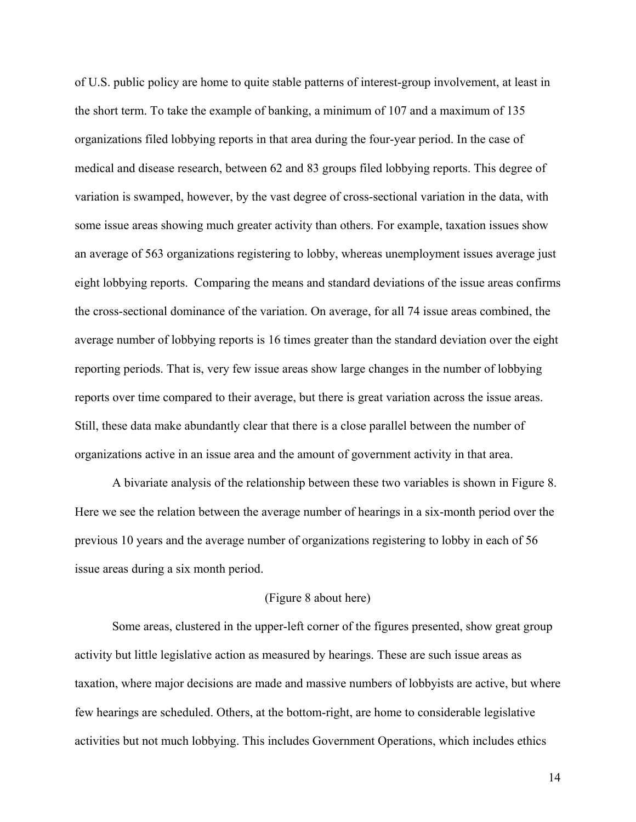of U.S. public policy are home to quite stable patterns of interest-group involvement, at least in the short term. To take the example of banking, a minimum of 107 and a maximum of 135 organizations filed lobbying reports in that area during the four-year period. In the case of medical and disease research, between 62 and 83 groups filed lobbying reports. This degree of variation is swamped, however, by the vast degree of cross-sectional variation in the data, with some issue areas showing much greater activity than others. For example, taxation issues show an average of 563 organizations registering to lobby, whereas unemployment issues average just eight lobbying reports. Comparing the means and standard deviations of the issue areas confirms the cross-sectional dominance of the variation. On average, for all 74 issue areas combined, the average number of lobbying reports is 16 times greater than the standard deviation over the eight reporting periods. That is, very few issue areas show large changes in the number of lobbying reports over time compared to their average, but there is great variation across the issue areas. Still, these data make abundantly clear that there is a close parallel between the number of organizations active in an issue area and the amount of government activity in that area.

A bivariate analysis of the relationship between these two variables is shown in Figure 8. Here we see the relation between the average number of hearings in a six-month period over the previous 10 years and the average number of organizations registering to lobby in each of 56 issue areas during a six month period.

#### (Figure 8 about here)

Some areas, clustered in the upper-left corner of the figures presented, show great group activity but little legislative action as measured by hearings. These are such issue areas as taxation, where major decisions are made and massive numbers of lobbyists are active, but where few hearings are scheduled. Others, at the bottom-right, are home to considerable legislative activities but not much lobbying. This includes Government Operations, which includes ethics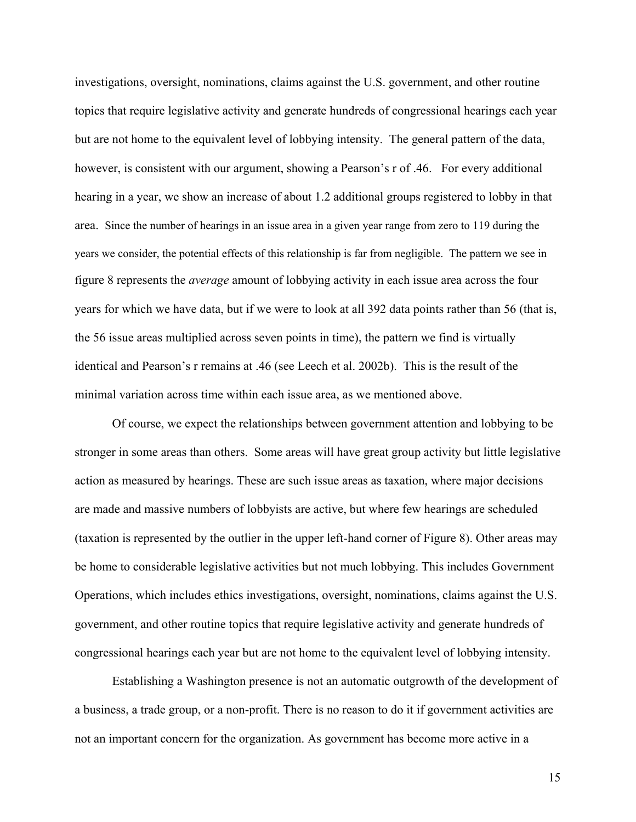investigations, oversight, nominations, claims against the U.S. government, and other routine topics that require legislative activity and generate hundreds of congressional hearings each year but are not home to the equivalent level of lobbying intensity. The general pattern of the data, however, is consistent with our argument, showing a Pearson's r of .46. For every additional hearing in a year, we show an increase of about 1.2 additional groups registered to lobby in that area. Since the number of hearings in an issue area in a given year range from zero to 119 during the years we consider, the potential effects of this relationship is far from negligible. The pattern we see in figure 8 represents the *average* amount of lobbying activity in each issue area across the four years for which we have data, but if we were to look at all 392 data points rather than 56 (that is, the 56 issue areas multiplied across seven points in time), the pattern we find is virtually identical and Pearson's r remains at .46 (see Leech et al. 2002b). This is the result of the minimal variation across time within each issue area, as we mentioned above.

Of course, we expect the relationships between government attention and lobbying to be stronger in some areas than others. Some areas will have great group activity but little legislative action as measured by hearings. These are such issue areas as taxation, where major decisions are made and massive numbers of lobbyists are active, but where few hearings are scheduled (taxation is represented by the outlier in the upper left-hand corner of Figure 8). Other areas may be home to considerable legislative activities but not much lobbying. This includes Government Operations, which includes ethics investigations, oversight, nominations, claims against the U.S. government, and other routine topics that require legislative activity and generate hundreds of congressional hearings each year but are not home to the equivalent level of lobbying intensity.

Establishing a Washington presence is not an automatic outgrowth of the development of a business, a trade group, or a non-profit. There is no reason to do it if government activities are not an important concern for the organization. As government has become more active in a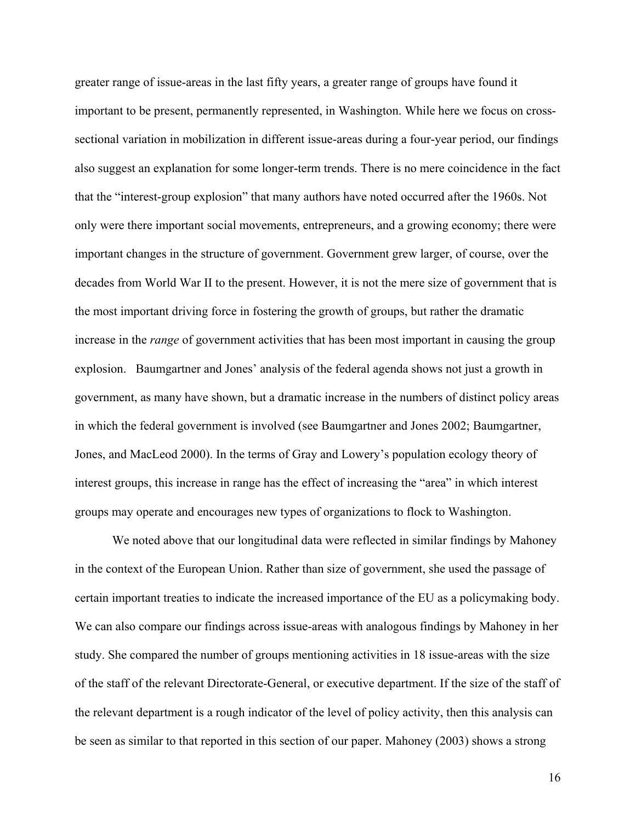greater range of issue-areas in the last fifty years, a greater range of groups have found it important to be present, permanently represented, in Washington. While here we focus on crosssectional variation in mobilization in different issue-areas during a four-year period, our findings also suggest an explanation for some longer-term trends. There is no mere coincidence in the fact that the "interest-group explosion" that many authors have noted occurred after the 1960s. Not only were there important social movements, entrepreneurs, and a growing economy; there were important changes in the structure of government. Government grew larger, of course, over the decades from World War II to the present. However, it is not the mere size of government that is the most important driving force in fostering the growth of groups, but rather the dramatic increase in the *range* of government activities that has been most important in causing the group explosion. Baumgartner and Jones' analysis of the federal agenda shows not just a growth in government, as many have shown, but a dramatic increase in the numbers of distinct policy areas in which the federal government is involved (see Baumgartner and Jones 2002; Baumgartner, Jones, and MacLeod 2000). In the terms of Gray and Lowery's population ecology theory of interest groups, this increase in range has the effect of increasing the "area" in which interest groups may operate and encourages new types of organizations to flock to Washington.

We noted above that our longitudinal data were reflected in similar findings by Mahoney in the context of the European Union. Rather than size of government, she used the passage of certain important treaties to indicate the increased importance of the EU as a policymaking body. We can also compare our findings across issue-areas with analogous findings by Mahoney in her study. She compared the number of groups mentioning activities in 18 issue-areas with the size of the staff of the relevant Directorate-General, or executive department. If the size of the staff of the relevant department is a rough indicator of the level of policy activity, then this analysis can be seen as similar to that reported in this section of our paper. Mahoney (2003) shows a strong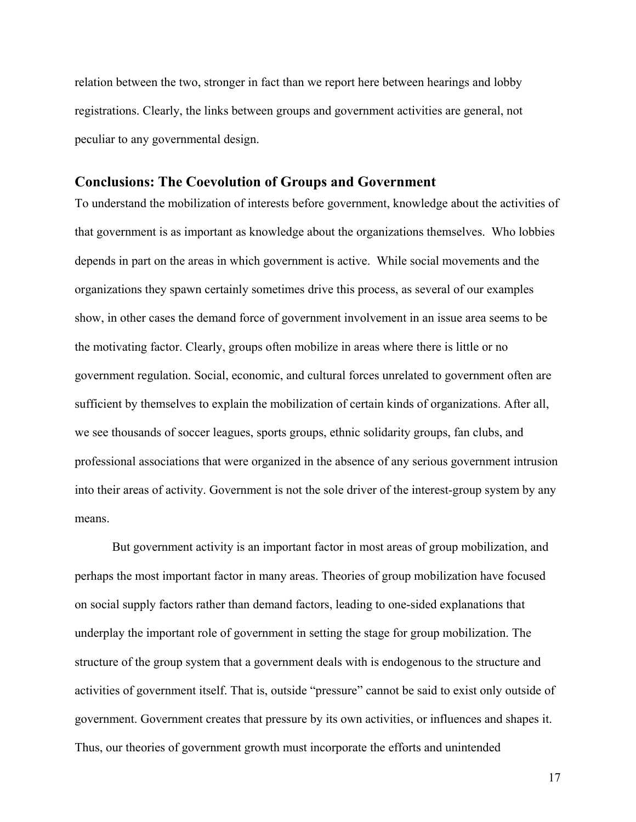relation between the two, stronger in fact than we report here between hearings and lobby registrations. Clearly, the links between groups and government activities are general, not peculiar to any governmental design.

### **Conclusions: The Coevolution of Groups and Government**

To understand the mobilization of interests before government, knowledge about the activities of that government is as important as knowledge about the organizations themselves. Who lobbies depends in part on the areas in which government is active. While social movements and the organizations they spawn certainly sometimes drive this process, as several of our examples show, in other cases the demand force of government involvement in an issue area seems to be the motivating factor. Clearly, groups often mobilize in areas where there is little or no government regulation. Social, economic, and cultural forces unrelated to government often are sufficient by themselves to explain the mobilization of certain kinds of organizations. After all, we see thousands of soccer leagues, sports groups, ethnic solidarity groups, fan clubs, and professional associations that were organized in the absence of any serious government intrusion into their areas of activity. Government is not the sole driver of the interest-group system by any means.

But government activity is an important factor in most areas of group mobilization, and perhaps the most important factor in many areas. Theories of group mobilization have focused on social supply factors rather than demand factors, leading to one-sided explanations that underplay the important role of government in setting the stage for group mobilization. The structure of the group system that a government deals with is endogenous to the structure and activities of government itself. That is, outside "pressure" cannot be said to exist only outside of government. Government creates that pressure by its own activities, or influences and shapes it. Thus, our theories of government growth must incorporate the efforts and unintended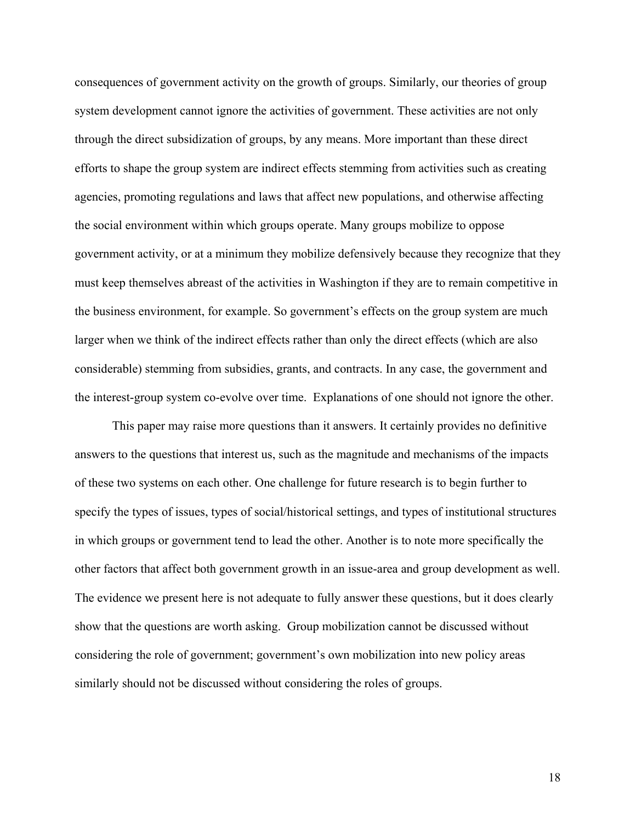consequences of government activity on the growth of groups. Similarly, our theories of group system development cannot ignore the activities of government. These activities are not only through the direct subsidization of groups, by any means. More important than these direct efforts to shape the group system are indirect effects stemming from activities such as creating agencies, promoting regulations and laws that affect new populations, and otherwise affecting the social environment within which groups operate. Many groups mobilize to oppose government activity, or at a minimum they mobilize defensively because they recognize that they must keep themselves abreast of the activities in Washington if they are to remain competitive in the business environment, for example. So government's effects on the group system are much larger when we think of the indirect effects rather than only the direct effects (which are also considerable) stemming from subsidies, grants, and contracts. In any case, the government and the interest-group system co-evolve over time. Explanations of one should not ignore the other.

This paper may raise more questions than it answers. It certainly provides no definitive answers to the questions that interest us, such as the magnitude and mechanisms of the impacts of these two systems on each other. One challenge for future research is to begin further to specify the types of issues, types of social/historical settings, and types of institutional structures in which groups or government tend to lead the other. Another is to note more specifically the other factors that affect both government growth in an issue-area and group development as well. The evidence we present here is not adequate to fully answer these questions, but it does clearly show that the questions are worth asking. Group mobilization cannot be discussed without considering the role of government; government's own mobilization into new policy areas similarly should not be discussed without considering the roles of groups.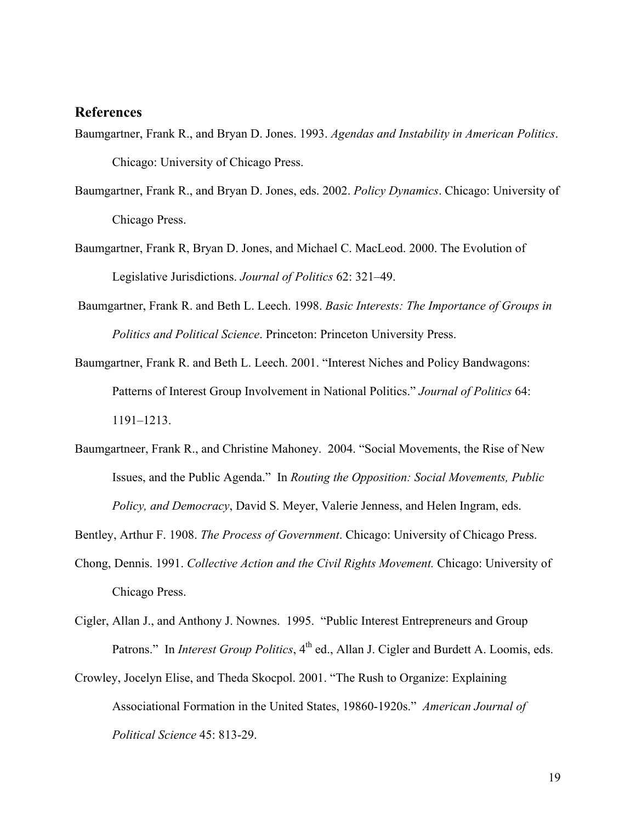# **References**

- Baumgartner, Frank R., and Bryan D. Jones. 1993. *Agendas and Instability in American Politics*. Chicago: University of Chicago Press.
- Baumgartner, Frank R., and Bryan D. Jones, eds. 2002. *Policy Dynamics*. Chicago: University of Chicago Press.
- Baumgartner, Frank R, Bryan D. Jones, and Michael C. MacLeod. 2000. The Evolution of Legislative Jurisdictions. *Journal of Politics* 62: 321–49.
- Baumgartner, Frank R. and Beth L. Leech. 1998. *Basic Interests: The Importance of Groups in Politics and Political Science*. Princeton: Princeton University Press.
- Baumgartner, Frank R. and Beth L. Leech. 2001. "Interest Niches and Policy Bandwagons: Patterns of Interest Group Involvement in National Politics." *Journal of Politics* 64: 1191–1213.
- Baumgartneer, Frank R., and Christine Mahoney. 2004. "Social Movements, the Rise of New Issues, and the Public Agenda." In *Routing the Opposition: Social Movements, Public Policy, and Democracy*, David S. Meyer, Valerie Jenness, and Helen Ingram, eds.

Bentley, Arthur F. 1908. *The Process of Government*. Chicago: University of Chicago Press.

- Chong, Dennis. 1991. *Collective Action and the Civil Rights Movement.* Chicago: University of Chicago Press.
- Cigler, Allan J., and Anthony J. Nownes. 1995. "Public Interest Entrepreneurs and Group Patrons." In *Interest Group Politics*, 4<sup>th</sup> ed., Allan J. Cigler and Burdett A. Loomis, eds.
- Crowley, Jocelyn Elise, and Theda Skocpol. 2001. "The Rush to Organize: Explaining Associational Formation in the United States, 19860-1920s." *American Journal of Political Science* 45: 813-29.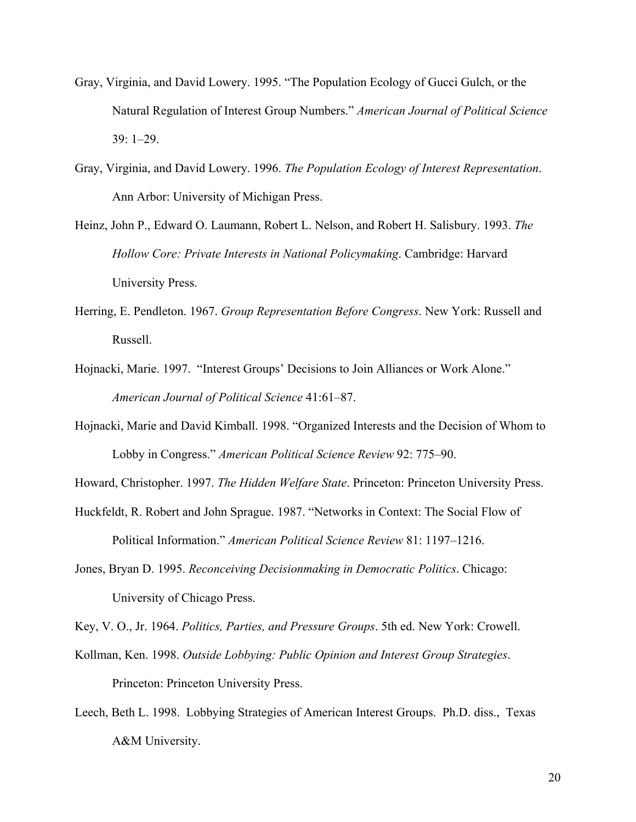- Gray, Virginia, and David Lowery. 1995. "The Population Ecology of Gucci Gulch, or the Natural Regulation of Interest Group Numbers." *American Journal of Political Science* 39: 1–29.
- Gray, Virginia, and David Lowery. 1996. *The Population Ecology of Interest Representation*. Ann Arbor: University of Michigan Press.
- Heinz, John P., Edward O. Laumann, Robert L. Nelson, and Robert H. Salisbury. 1993. *The Hollow Core: Private Interests in National Policymaking*. Cambridge: Harvard University Press.
- Herring, E. Pendleton. 1967. *Group Representation Before Congress*. New York: Russell and Russell.
- Hojnacki, Marie. 1997. "Interest Groups' Decisions to Join Alliances or Work Alone." *American Journal of Political Science* 41:61–87.
- Hojnacki, Marie and David Kimball. 1998. "Organized Interests and the Decision of Whom to Lobby in Congress." *American Political Science Review* 92: 775–90.

Howard, Christopher. 1997. *The Hidden Welfare State*. Princeton: Princeton University Press.

- Huckfeldt, R. Robert and John Sprague. 1987. "Networks in Context: The Social Flow of Political Information." *American Political Science Review* 81: 1197–1216.
- Jones, Bryan D. 1995. *Reconceiving Decisionmaking in Democratic Politics*. Chicago: University of Chicago Press.

Key, V. O., Jr. 1964. *Politics, Parties, and Pressure Groups*. 5th ed. New York: Crowell.

- Kollman, Ken. 1998. *Outside Lobbying: Public Opinion and Interest Group Strategies*. Princeton: Princeton University Press.
- Leech, Beth L. 1998. Lobbying Strategies of American Interest Groups. Ph.D. diss., Texas A&M University.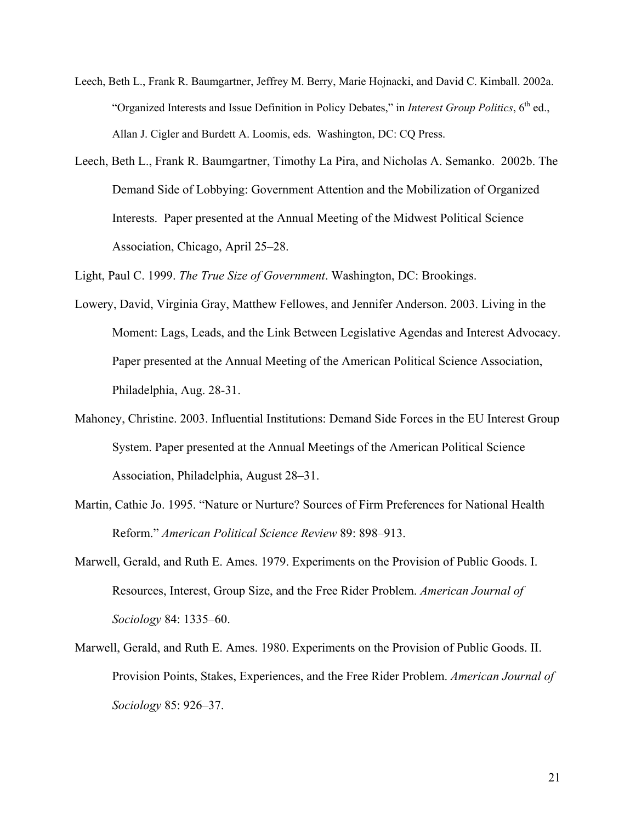- Leech, Beth L., Frank R. Baumgartner, Jeffrey M. Berry, Marie Hojnacki, and David C. Kimball. 2002a. "Organized Interests and Issue Definition in Policy Debates," in *Interest Group Politics*, 6<sup>th</sup> ed., Allan J. Cigler and Burdett A. Loomis, eds. Washington, DC: CQ Press.
- Leech, Beth L., Frank R. Baumgartner, Timothy La Pira, and Nicholas A. Semanko. 2002b. The Demand Side of Lobbying: Government Attention and the Mobilization of Organized Interests. Paper presented at the Annual Meeting of the Midwest Political Science Association, Chicago, April 25–28.

Light, Paul C. 1999. *The True Size of Government*. Washington, DC: Brookings.

- Lowery, David, Virginia Gray, Matthew Fellowes, and Jennifer Anderson. 2003. Living in the Moment: Lags, Leads, and the Link Between Legislative Agendas and Interest Advocacy. Paper presented at the Annual Meeting of the American Political Science Association, Philadelphia, Aug. 28-31.
- Mahoney, Christine. 2003. Influential Institutions: Demand Side Forces in the EU Interest Group System. Paper presented at the Annual Meetings of the American Political Science Association, Philadelphia, August 28–31.
- Martin, Cathie Jo. 1995. "Nature or Nurture? Sources of Firm Preferences for National Health Reform." *American Political Science Review* 89: 898–913.
- Marwell, Gerald, and Ruth E. Ames. 1979. Experiments on the Provision of Public Goods. I. Resources, Interest, Group Size, and the Free Rider Problem. *American Journal of Sociology* 84: 1335–60.
- Marwell, Gerald, and Ruth E. Ames. 1980. Experiments on the Provision of Public Goods. II. Provision Points, Stakes, Experiences, and the Free Rider Problem. *American Journal of Sociology* 85: 926–37.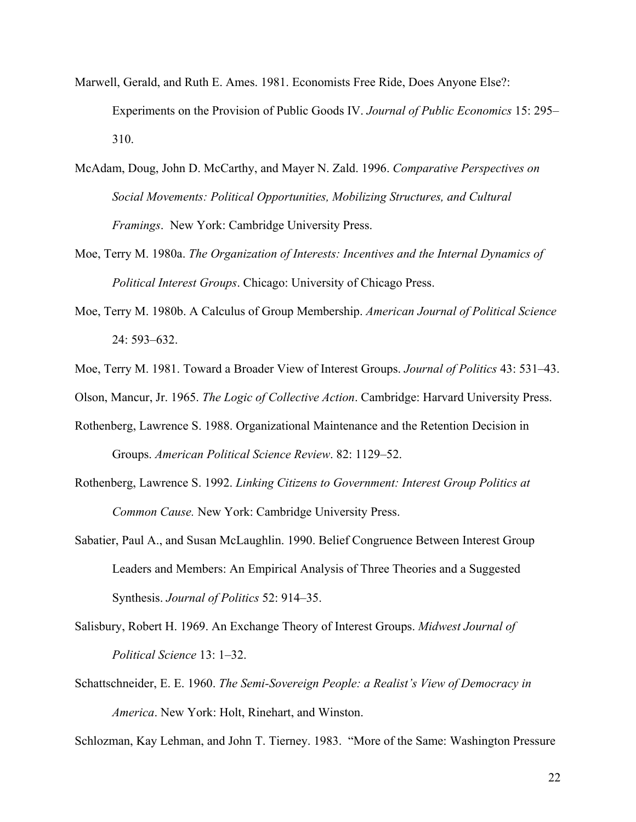- Marwell, Gerald, and Ruth E. Ames. 1981. Economists Free Ride, Does Anyone Else?: Experiments on the Provision of Public Goods IV. *Journal of Public Economics* 15: 295– 310.
- McAdam, Doug, John D. McCarthy, and Mayer N. Zald. 1996. *Comparative Perspectives on Social Movements: Political Opportunities, Mobilizing Structures, and Cultural Framings*. New York: Cambridge University Press.
- Moe, Terry M. 1980a. *The Organization of Interests: Incentives and the Internal Dynamics of Political Interest Groups*. Chicago: University of Chicago Press.
- Moe, Terry M. 1980b. A Calculus of Group Membership. *American Journal of Political Science* 24: 593–632.
- Moe, Terry M. 1981. Toward a Broader View of Interest Groups. *Journal of Politics* 43: 531–43.
- Olson, Mancur, Jr. 1965. *The Logic of Collective Action*. Cambridge: Harvard University Press.
- Rothenberg, Lawrence S. 1988. Organizational Maintenance and the Retention Decision in Groups. *American Political Science Review*. 82: 1129–52.
- Rothenberg, Lawrence S. 1992. *Linking Citizens to Government: Interest Group Politics at Common Cause.* New York: Cambridge University Press.
- Sabatier, Paul A., and Susan McLaughlin. 1990. Belief Congruence Between Interest Group Leaders and Members: An Empirical Analysis of Three Theories and a Suggested Synthesis. *Journal of Politics* 52: 914–35.
- Salisbury, Robert H. 1969. An Exchange Theory of Interest Groups. *Midwest Journal of Political Science* 13: 1–32.
- Schattschneider, E. E. 1960. *The Semi-Sovereign People: a Realist's View of Democracy in America*. New York: Holt, Rinehart, and Winston.

Schlozman, Kay Lehman, and John T. Tierney. 1983. "More of the Same: Washington Pressure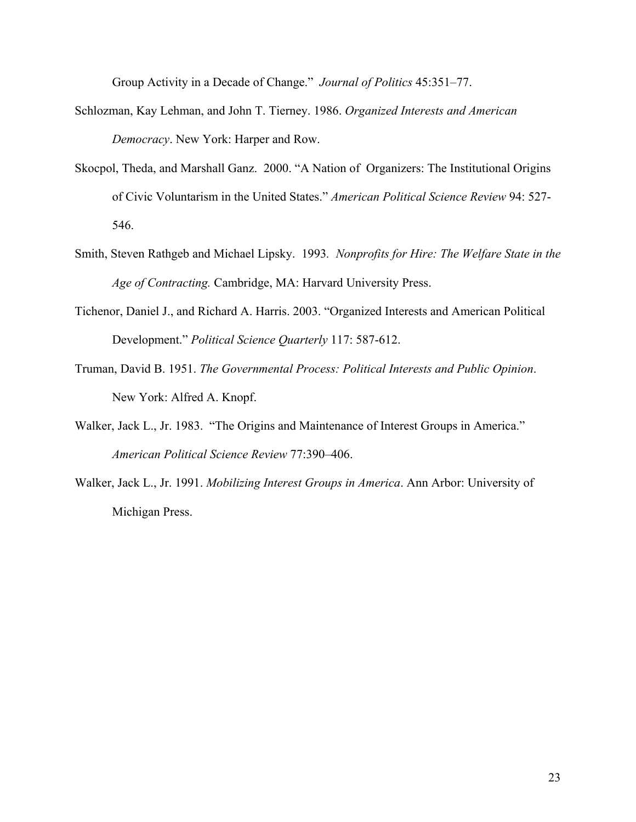Group Activity in a Decade of Change." *Journal of Politics* 45:351–77.

- Schlozman, Kay Lehman, and John T. Tierney. 1986. *Organized Interests and American Democracy*. New York: Harper and Row.
- Skocpol, Theda, and Marshall Ganz. 2000. "A Nation of Organizers: The Institutional Origins of Civic Voluntarism in the United States." *American Political Science Review* 94: 527- 546.
- Smith, Steven Rathgeb and Michael Lipsky. 1993*. Nonprofits for Hire: The Welfare State in the Age of Contracting.* Cambridge, MA: Harvard University Press.
- Tichenor, Daniel J., and Richard A. Harris. 2003. "Organized Interests and American Political Development." *Political Science Quarterly* 117: 587-612.
- Truman, David B. 1951. *The Governmental Process: Political Interests and Public Opinion*. New York: Alfred A. Knopf.
- Walker, Jack L., Jr. 1983. "The Origins and Maintenance of Interest Groups in America." *American Political Science Review* 77:390–406.
- Walker, Jack L., Jr. 1991. *Mobilizing Interest Groups in America*. Ann Arbor: University of Michigan Press.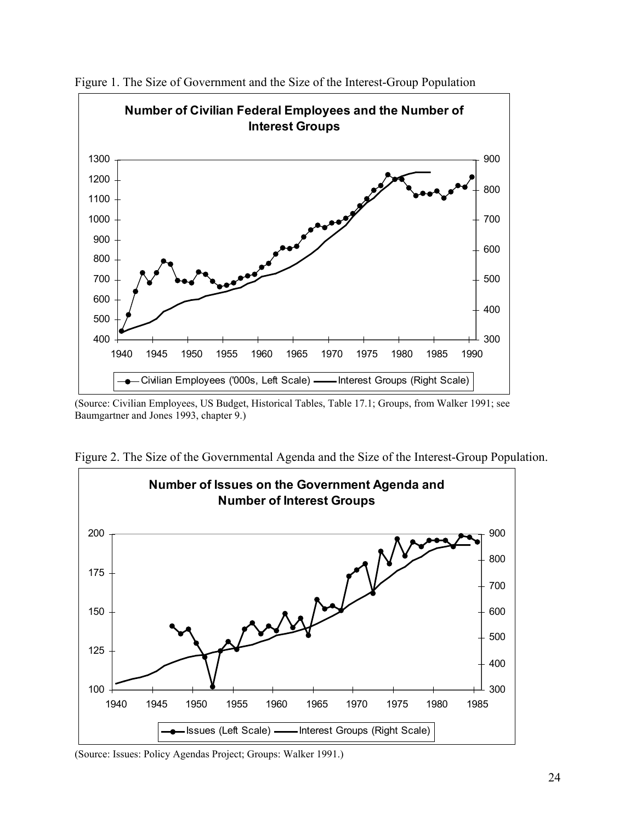

Figure 1. The Size of Government and the Size of the Interest-Group Population

(Source: Civilian Employees, US Budget, Historical Tables, Table 17.1; Groups, from Walker 1991; see Baumgartner and Jones 1993, chapter 9.)



Figure 2. The Size of the Governmental Agenda and the Size of the Interest-Group Population.

(Source: Issues: Policy Agendas Project; Groups: Walker 1991.)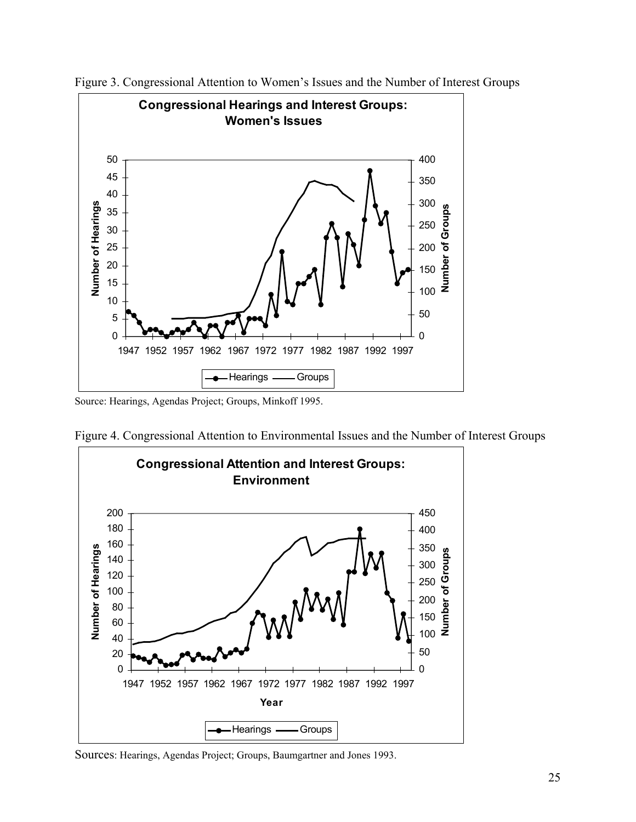

Figure 3. Congressional Attention to Women's Issues and the Number of Interest Groups

Source: Hearings, Agendas Project; Groups, Minkoff 1995.





Sources: Hearings, Agendas Project; Groups, Baumgartner and Jones 1993.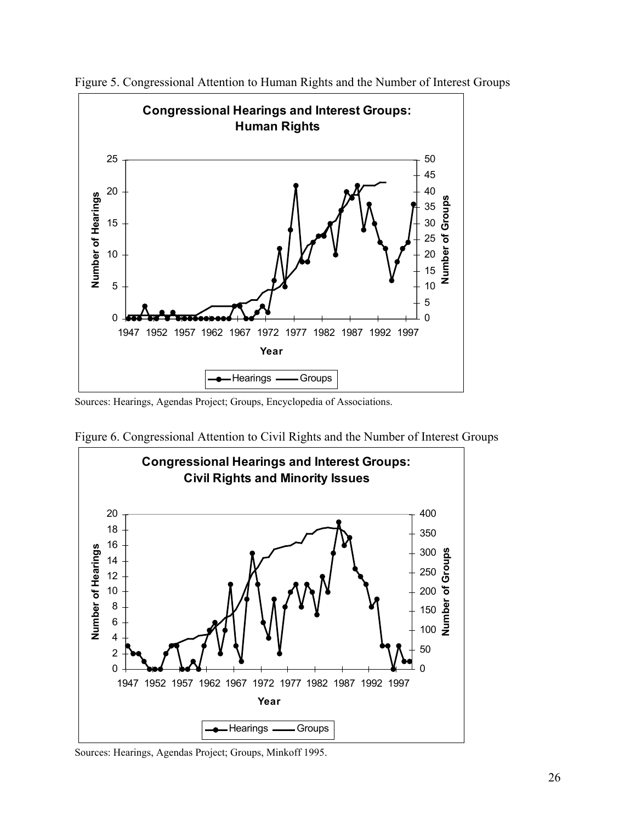

Figure 5. Congressional Attention to Human Rights and the Number of Interest Groups

Sources: Hearings, Agendas Project; Groups, Encyclopedia of Associations.



Figure 6. Congressional Attention to Civil Rights and the Number of Interest Groups

Sources: Hearings, Agendas Project; Groups, Minkoff 1995.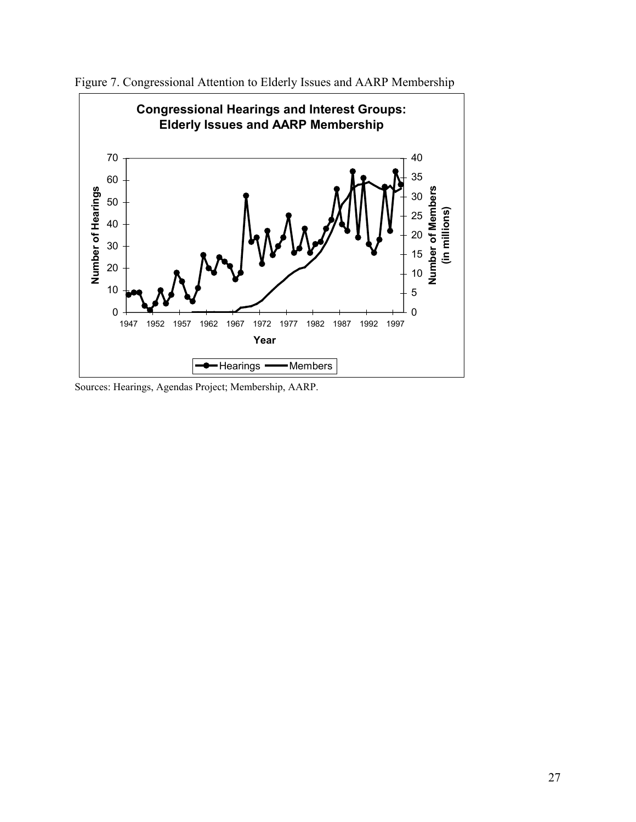

Figure 7. Congressional Attention to Elderly Issues and AARP Membership

Sources: Hearings, Agendas Project; Membership, AARP.